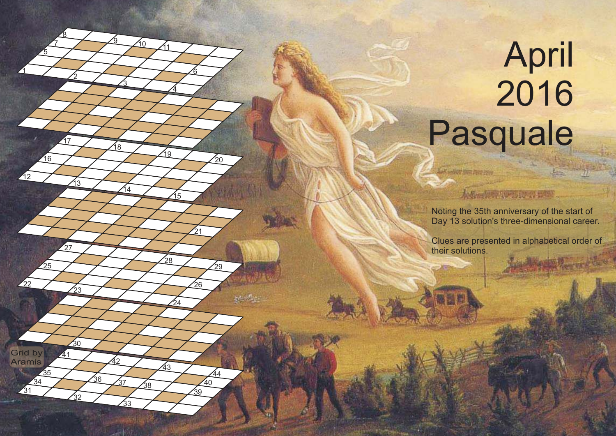## **April**  Pasquale

**Grid by** Aramis

> 

 <u>8</u>

 $\frac{1}{30}$ 

<sup>37</sup> <sup>38</sup>

เว

<u>ପ</u>

 $\frac{24}{1}$ 

 $^{'}28$ 

 $\mathcal{L}_{21}$ 

  $40<sup>7</sup>$ 

 $\frac{1}{20}$ 

 $\frac{1}{29}$ 

Advertiser to the state Noting the 35th anniversary of the start of Day 13 solution's three-dimensional career.

List andere gen reer iver

Clues are presented in alphabetical order of their solutions.